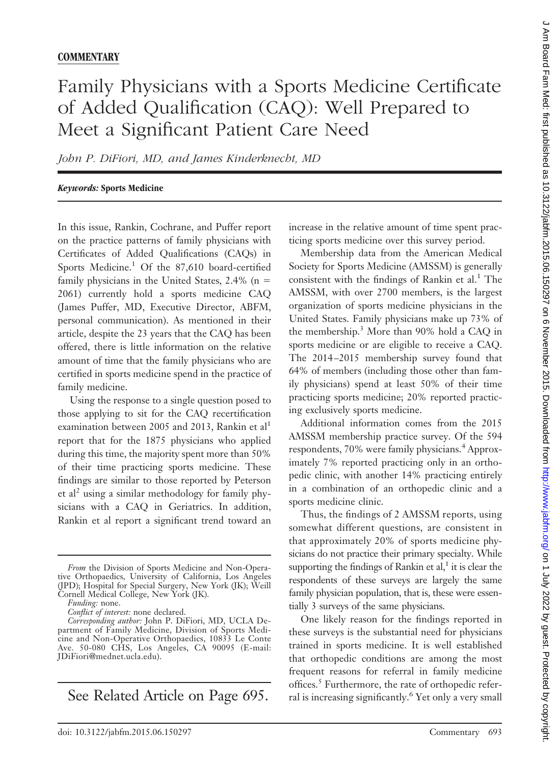## Family Physicians with a Sports Medicine Certificate of Added Qualification (CAQ): Well Prepared to Meet a Significant Patient Care Need

*John P. DiFiori, MD, and James Kinderknecht, MD*

## *Keywords:* **Sports Medicine**

In this issue, Rankin, Cochrane, and Puffer report on the practice patterns of family physicians with Certificates of Added Qualifications (CAQs) in Sports Medicine.<sup>1</sup> Of the  $87,610$  board-certified family physicians in the United States, 2.4% ( $n =$ 2061) currently hold a sports medicine CAQ (James Puffer, MD, Executive Director, ABFM, personal communication). As mentioned in their article, despite the 23 years that the CAQ has been offered, there is little information on the relative amount of time that the family physicians who are certified in sports medicine spend in the practice of family medicine.

Using the response to a single question posed to those applying to sit for the CAQ recertification examination between 2005 and 2013, Rankin et al<sup>1</sup> report that for the 1875 physicians who applied during this time, the majority spent more than 50% of their time practicing sports medicine. These findings are similar to those reported by Peterson et al<sup>2</sup> using a similar methodology for family physicians with a CAQ in Geriatrics. In addition, Rankin et al report a significant trend toward an

See Related Article on Page 695.

increase in the relative amount of time spent practicing sports medicine over this survey period.

Membership data from the American Medical Society for Sports Medicine (AMSSM) is generally consistent with the findings of Rankin et al. $<sup>1</sup>$  The</sup> AMSSM, with over 2700 members, is the largest organization of sports medicine physicians in the United States. Family physicians make up 73% of the membership.3 More than 90% hold a CAQ in sports medicine or are eligible to receive a CAQ. The 2014 –2015 membership survey found that 64% of members (including those other than family physicians) spend at least 50% of their time practicing sports medicine; 20% reported practicing exclusively sports medicine.

Additional information comes from the 2015 AMSSM membership practice survey. Of the 594 respondents, 70% were family physicians.<sup>4</sup> Approximately 7% reported practicing only in an orthopedic clinic, with another 14% practicing entirely in a combination of an orthopedic clinic and a sports medicine clinic.

Thus, the findings of 2 AMSSM reports, using somewhat different questions, are consistent in that approximately 20% of sports medicine physicians do not practice their primary specialty. While supporting the findings of Rankin et al, $<sup>1</sup>$  it is clear the</sup> respondents of these surveys are largely the same family physician population, that is, these were essentially 3 surveys of the same physicians.

One likely reason for the findings reported in these surveys is the substantial need for physicians trained in sports medicine. It is well established that orthopedic conditions are among the most frequent reasons for referral in family medicine offices.<sup>5</sup> Furthermore, the rate of orthopedic referral is increasing significantly.6 Yet only a very small

*From* the Division of Sports Medicine and Non-Operative Orthopaedics, University of California, Los Angeles (JPD); Hospital for Special Surgery, New York (JK); Weill Cornell Medical College, New York (JK).

*Funding:* none.

*Conflict of interest:* none declared.

*Corresponding author:* John P. DiFiori, MD, UCLA Department of Family Medicine, Division of Sports Medicine and Non-Operative Orthopaedics, 10833 Le Conte Ave. 50-080 CHS, Los Angeles, CA 90095 (E-mail: JDiFiori@mednet.ucla.edu).